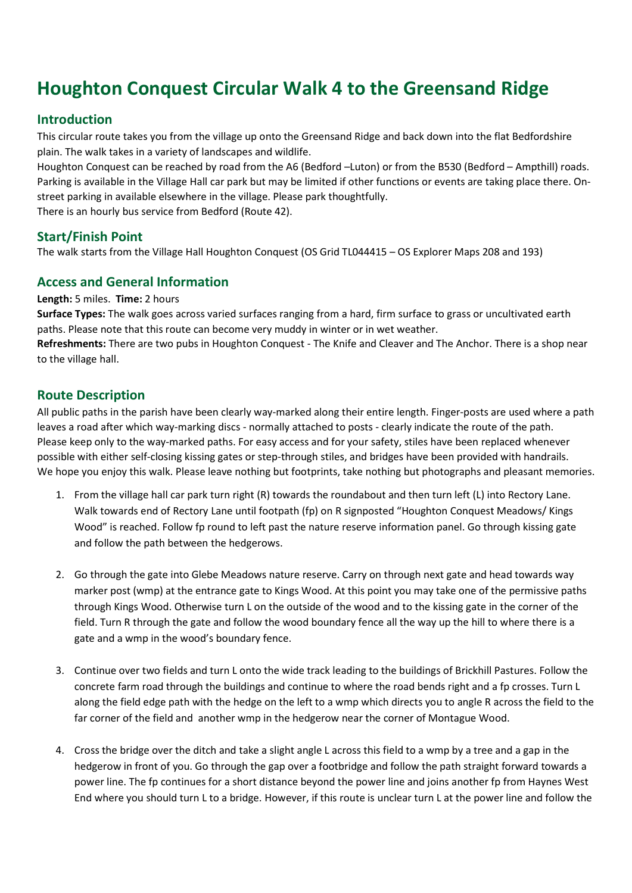# Houghton Conquest Circular Walk 4 to the Greensand Ridge

## Introduction

This circular route takes you from the village up onto the Greensand Ridge and back down into the flat Bedfordshire plain. The walk takes in a variety of landscapes and wildlife.

Houghton Conquest can be reached by road from the A6 (Bedford –Luton) or from the B530 (Bedford – Ampthill) roads. Parking is available in the Village Hall car park but may be limited if other functions or events are taking place there. Onstreet parking in available elsewhere in the village. Please park thoughtfully.

There is an hourly bus service from Bedford (Route 42).

## Start/Finish Point

The walk starts from the Village Hall Houghton Conquest (OS Grid TL044415 – OS Explorer Maps 208 and 193)

## Access and General Information

Length: 5 miles. Time: 2 hours

Surface Types: The walk goes across varied surfaces ranging from a hard, firm surface to grass or uncultivated earth paths. Please note that this route can become very muddy in winter or in wet weather.

Refreshments: There are two pubs in Houghton Conquest - The Knife and Cleaver and The Anchor. There is a shop near to the village hall.

## Route Description

All public paths in the parish have been clearly way-marked along their entire length. Finger-posts are used where a path leaves a road after which way-marking discs - normally attached to posts - clearly indicate the route of the path. Please keep only to the way-marked paths. For easy access and for your safety, stiles have been replaced whenever possible with either self-closing kissing gates or step-through stiles, and bridges have been provided with handrails. We hope you enjoy this walk. Please leave nothing but footprints, take nothing but photographs and pleasant memories.

- 1. From the village hall car park turn right (R) towards the roundabout and then turn left (L) into Rectory Lane. Walk towards end of Rectory Lane until footpath (fp) on R signposted "Houghton Conquest Meadows/ Kings Wood" is reached. Follow fp round to left past the nature reserve information panel. Go through kissing gate and follow the path between the hedgerows.
- 2. Go through the gate into Glebe Meadows nature reserve. Carry on through next gate and head towards way marker post (wmp) at the entrance gate to Kings Wood. At this point you may take one of the permissive paths through Kings Wood. Otherwise turn L on the outside of the wood and to the kissing gate in the corner of the field. Turn R through the gate and follow the wood boundary fence all the way up the hill to where there is a gate and a wmp in the wood's boundary fence.
- 3. Continue over two fields and turn L onto the wide track leading to the buildings of Brickhill Pastures. Follow the concrete farm road through the buildings and continue to where the road bends right and a fp crosses. Turn L along the field edge path with the hedge on the left to a wmp which directs you to angle R across the field to the far corner of the field and another wmp in the hedgerow near the corner of Montague Wood.
- 4. Cross the bridge over the ditch and take a slight angle L across this field to a wmp by a tree and a gap in the hedgerow in front of you. Go through the gap over a footbridge and follow the path straight forward towards a power line. The fp continues for a short distance beyond the power line and joins another fp from Haynes West End where you should turn L to a bridge. However, if this route is unclear turn L at the power line and follow the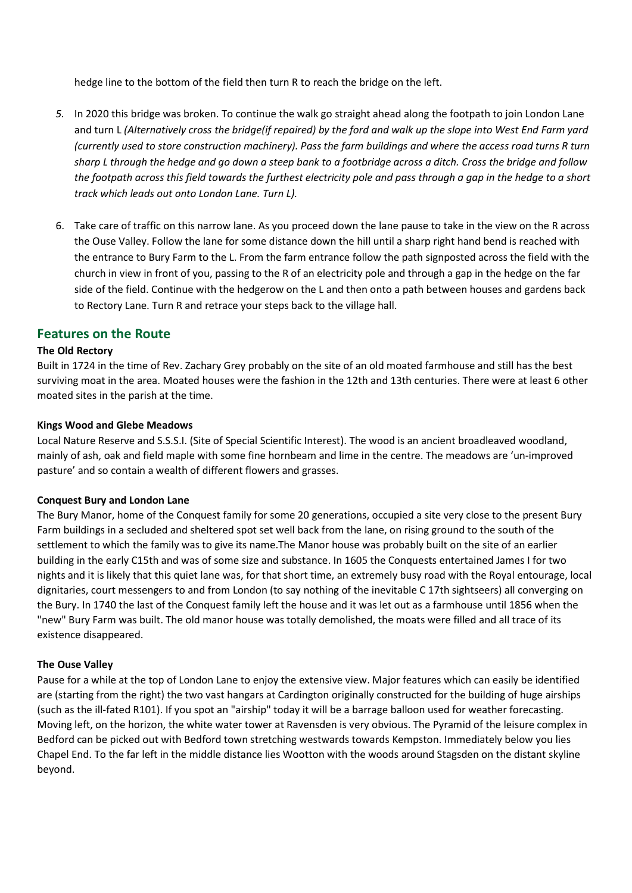hedge line to the bottom of the field then turn R to reach the bridge on the left.

- 5. In 2020 this bridge was broken. To continue the walk go straight ahead along the footpath to join London Lane and turn L (Alternatively cross the bridge(if repaired) by the ford and walk up the slope into West End Farm yard (currently used to store construction machinery). Pass the farm buildings and where the access road turns R turn sharp L through the hedge and go down a steep bank to a footbridge across a ditch. Cross the bridge and follow the footpath across this field towards the furthest electricity pole and pass through a gap in the hedge to a short track which leads out onto London Lane. Turn L).
- 6. Take care of traffic on this narrow lane. As you proceed down the lane pause to take in the view on the R across the Ouse Valley. Follow the lane for some distance down the hill until a sharp right hand bend is reached with the entrance to Bury Farm to the L. From the farm entrance follow the path signposted across the field with the church in view in front of you, passing to the R of an electricity pole and through a gap in the hedge on the far side of the field. Continue with the hedgerow on the L and then onto a path between houses and gardens back to Rectory Lane. Turn R and retrace your steps back to the village hall.

## Features on the Route

#### The Old Rectory

Built in 1724 in the time of Rev. Zachary Grey probably on the site of an old moated farmhouse and still has the best surviving moat in the area. Moated houses were the fashion in the 12th and 13th centuries. There were at least 6 other moated sites in the parish at the time.

#### Kings Wood and Glebe Meadows

Local Nature Reserve and S.S.S.I. (Site of Special Scientific Interest). The wood is an ancient broadleaved woodland, mainly of ash, oak and field maple with some fine hornbeam and lime in the centre. The meadows are 'un-improved pasture' and so contain a wealth of different flowers and grasses.

#### Conquest Bury and London Lane

The Bury Manor, home of the Conquest family for some 20 generations, occupied a site very close to the present Bury Farm buildings in a secluded and sheltered spot set well back from the lane, on rising ground to the south of the settlement to which the family was to give its name.The Manor house was probably built on the site of an earlier building in the early C15th and was of some size and substance. In 1605 the Conquests entertained James I for two nights and it is likely that this quiet lane was, for that short time, an extremely busy road with the Royal entourage, local dignitaries, court messengers to and from London (to say nothing of the inevitable C 17th sightseers) all converging on the Bury. In 1740 the last of the Conquest family left the house and it was let out as a farmhouse until 1856 when the "new" Bury Farm was built. The old manor house was totally demolished, the moats were filled and all trace of its existence disappeared.

#### The Ouse Valley

Pause for a while at the top of London Lane to enjoy the extensive view. Major features which can easily be identified are (starting from the right) the two vast hangars at Cardington originally constructed for the building of huge airships (such as the ill-fated R101). If you spot an "airship" today it will be a barrage balloon used for weather forecasting. Moving left, on the horizon, the white water tower at Ravensden is very obvious. The Pyramid of the leisure complex in Bedford can be picked out with Bedford town stretching westwards towards Kempston. Immediately below you lies Chapel End. To the far left in the middle distance lies Wootton with the woods around Stagsden on the distant skyline beyond.